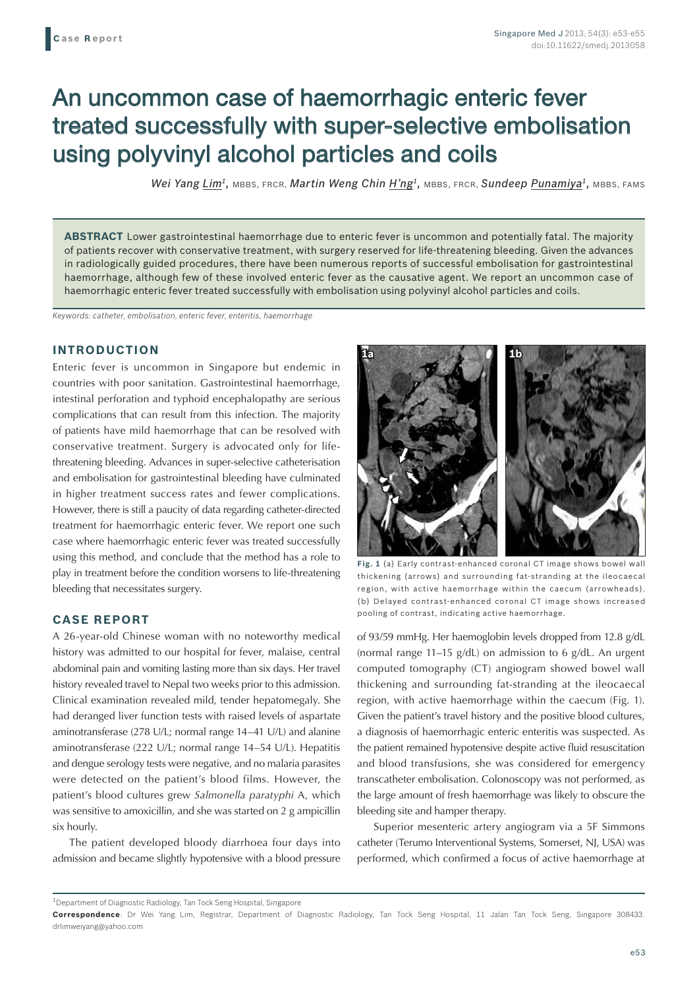# An uncommon case of haemorrhagic enteric fever treated successfully with super-selective embolisation using polyvinyl alcohol particles and coils

*Wei Yang Lim1,* MBBS, FRCR, *Martin Weng Chin H'ng1,* MBBS, FRCR, *Sundeep Punamiya1,* MBBS, FAMS

**ABSTRACT** Lower gastrointestinal haemorrhage due to enteric fever is uncommon and potentially fatal. The majority of patients recover with conservative treatment, with surgery reserved for life-threatening bleeding. Given the advances in radiologically guided procedures, there have been numerous reports of successful embolisation for gastrointestinal haemorrhage, although few of these involved enteric fever as the causative agent. We report an uncommon case of haemorrhagic enteric fever treated successfully with embolisation using polyvinyl alcohol particles and coils.

*Keywords: catheter, embolisation, enteric fever, enteritis, haemorrhage*

#### **INTRODUCTION**

Enteric fever is uncommon in Singapore but endemic in countries with poor sanitation. Gastrointestinal haemorrhage, intestinal perforation and typhoid encephalopathy are serious complications that can result from this infection. The majority of patients have mild haemorrhage that can be resolved with conservative treatment. Surgery is advocated only for lifethreatening bleeding. Advances in super-selective catheterisation and embolisation for gastrointestinal bleeding have culminated in higher treatment success rates and fewer complications. However, there is still a paucity of data regarding catheter-directed treatment for haemorrhagic enteric fever. We report one such case where haemorrhagic enteric fever was treated successfully using this method, and conclude that the method has a role to play in treatment before the condition worsens to life-threatening bleeding that necessitates surgery.

### **CASE REPORT**

A 26-year-old Chinese woman with no noteworthy medical history was admitted to our hospital for fever, malaise, central abdominal pain and vomiting lasting more than six days. Her travel history revealed travel to Nepal two weeks prior to this admission. Clinical examination revealed mild, tender hepatomegaly. She had deranged liver function tests with raised levels of aspartate aminotransferase (278 U/L; normal range 14–41 U/L) and alanine aminotransferase (222 U/L; normal range 14–54 U/L). Hepatitis and dengue serology tests were negative, and no malaria parasites were detected on the patient's blood films. However, the patient's blood cultures grew *Salmonella paratyphi* A, which was sensitive to amoxicillin, and she was started on 2 g ampicillin six hourly.

The patient developed bloody diarrhoea four days into admission and became slightly hypotensive with a blood pressure



**Fig. 1** (a) Early contrast-enhanced coronal CT image shows bowel wall thickening (arrows) and surrounding fat-stranding at the ileocaecal region, with active haemorrhage within the caecum (arrowheads). (b) Delayed contrast-enhanced coronal CT image shows increased pooling of contrast, indicating active haemorrhage.

of 93/59 mmHg. Her haemoglobin levels dropped from 12.8 g/dL (normal range 11–15 g/dL) on admission to 6 g/dL. An urgent computed tomography (CT) angiogram showed bowel wall thickening and surrounding fat-stranding at the ileocaecal region, with active haemorrhage within the caecum (Fig. 1). Given the patient's travel history and the positive blood cultures, a diagnosis of haemorrhagic enteric enteritis was suspected. As the patient remained hypotensive despite active fluid resuscitation and blood transfusions, she was considered for emergency transcatheter embolisation. Colonoscopy was not performed, as the large amount of fresh haemorrhage was likely to obscure the bleeding site and hamper therapy.

Superior mesenteric artery angiogram via a 5F Simmons catheter (Terumo Interventional Systems, Somerset, NJ, USA) was performed, which confirmed a focus of active haemorrhage at

 $^{\rm 1}$ Department of Diagnostic Radiology, Tan Tock Seng Hospital, Singapore

**Correspondence**: Dr Wei Yang Lim, Registrar, Department of Diagnostic Radiology, Tan Tock Seng Hospital, 11 Jalan Tan Tock Seng, Singapore 308433. drlimweiyang@yahoo.com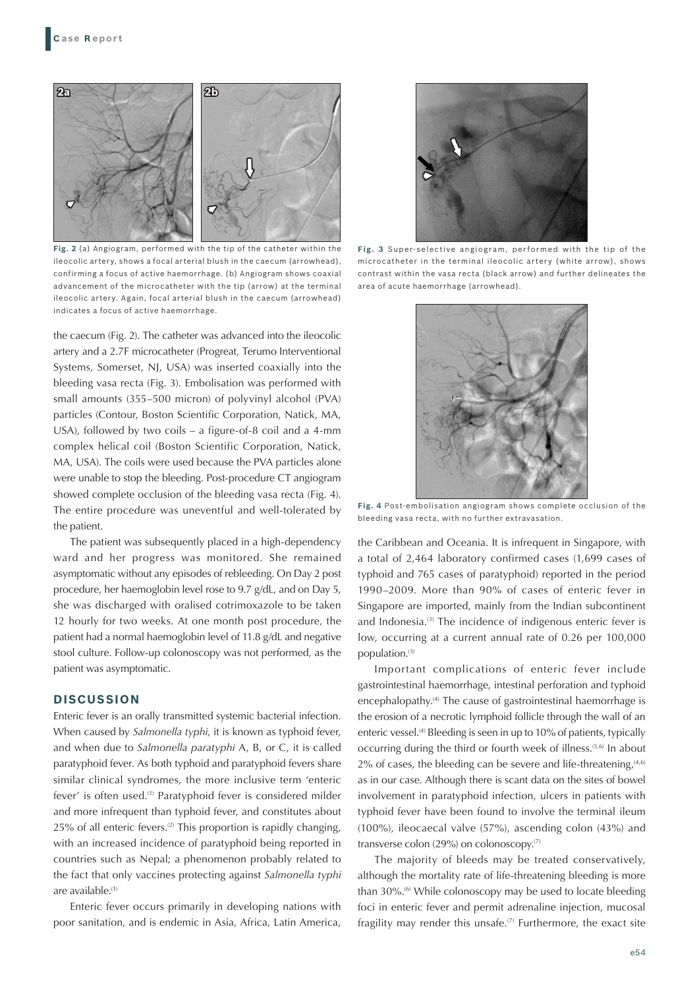

**Fig. 2** (a) Angiogram, performed with the tip of the catheter within the ileocolic artery, shows a focal arterial blush in the caecum (arrowhead), confirming a focus of active haemorrhage. (b) Angiogram shows coaxial advancement of the microcatheter with the tip (arrow) at the terminal ileocolic artery. Again, focal arterial blush in the caecum (arrowhead) indicates a focus of active haemorrhage.

the caecum (Fig. 2). The catheter was advanced into the ileocolic artery and a 2.7F microcatheter (Progreat, Terumo Interventional Systems, Somerset, NJ, USA) was inserted coaxially into the bleeding vasa recta (Fig. 3). Embolisation was performed with small amounts (355–500 micron) of polyvinyl alcohol (PVA) particles (Contour, Boston Scientific Corporation, Natick, MA, USA), followed by two coils – a figure-of-8 coil and a 4-mm complex helical coil (Boston Scientific Corporation, Natick, MA, USA). The coils were used because the PVA particles alone were unable to stop the bleeding. Post-procedure CT angiogram showed complete occlusion of the bleeding vasa recta (Fig. 4). The entire procedure was uneventful and well-tolerated by the patient.

The patient was subsequently placed in a high-dependency ward and her progress was monitored. She remained asymptomatic without any episodes of rebleeding. On Day 2 post procedure, her haemoglobin level rose to 9.7 g/dL, and on Day 5, she was discharged with oralised cotrimoxazole to be taken 12 hourly for two weeks. At one month post procedure, the patient had a normal haemoglobin level of 11.8 g/dL and negative stool culture. Follow-up colonoscopy was not performed, as the patient was asymptomatic.

## **DISCUSSION**

Enteric fever is an orally transmitted systemic bacterial infection. When caused by *Salmonella typhi*, it is known as typhoid fever, and when due to *Salmonella paratyphi* A, B, or C, it is called paratyphoid fever. As both typhoid and paratyphoid fevers share similar clinical syndromes, the more inclusive term 'enteric fever' is often used.(1) Paratyphoid fever is considered milder and more infrequent than typhoid fever, and constitutes about  $25\%$  of all enteric fevers.<sup>(2)</sup> This proportion is rapidly changing, with an increased incidence of paratyphoid being reported in countries such as Nepal; a phenomenon probably related to the fact that only vaccines protecting against *Salmonella typhi* are available.<sup>(1)</sup>

Enteric fever occurs primarily in developing nations with poor sanitation, and is endemic in Asia, Africa, Latin America,



**Fig. 3** Super-selective angiogram, performed with the tip of the microcatheter in the terminal ileocolic artery (white arrow), shows contrast within the vasa recta (black arrow) and further delineates the area of acute haemorrhage (arrowhead).



**Fig. 4** Post-embolisation angiogram shows complete occlusion of the bleeding vasa recta, with no further extravasation.

the Caribbean and Oceania. It is infrequent in Singapore, with a total of 2,464 laboratory confirmed cases (1,699 cases of typhoid and 765 cases of paratyphoid) reported in the period 1990–2009. More than 90% of cases of enteric fever in Singapore are imported, mainly from the Indian subcontinent and Indonesia.<sup>(3)</sup> The incidence of indigenous enteric fever is low, occurring at a current annual rate of 0.26 per 100,000 population.(3)

Important complications of enteric fever include gastrointestinal haemorrhage, intestinal perforation and typhoid encephalopathy.(4) The cause of gastrointestinal haemorrhage is the erosion of a necrotic lymphoid follicle through the wall of an enteric vessel.<sup>(4)</sup> Bleeding is seen in up to 10% of patients, typically occurring during the third or fourth week of illness.(5,6) In about  $2\%$  of cases, the bleeding can be severe and life-threatening,  $(4,6)$ as in our case. Although there is scant data on the sites of bowel involvement in paratyphoid infection, ulcers in patients with typhoid fever have been found to involve the terminal ileum (100%), ileocaecal valve (57%), ascending colon (43%) and transverse colon (29%) on colonoscopy.(7)

The majority of bleeds may be treated conservatively, although the mortality rate of life-threatening bleeding is more than 30%.<sup>(6)</sup> While colonoscopy may be used to locate bleeding foci in enteric fever and permit adrenaline injection, mucosal fragility may render this unsafe.<sup> $(7)$ </sup> Furthermore, the exact site